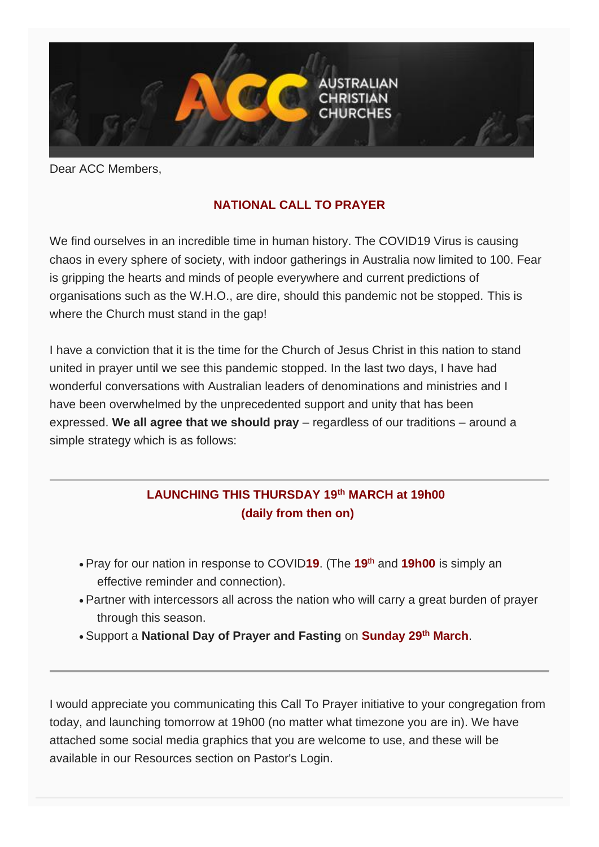

Dear ACC Members,

## **NATIONAL CALL TO PRAYER**

We find ourselves in an incredible time in human history. The COVID19 Virus is causing chaos in every sphere of society, with indoor gatherings in Australia now limited to 100. Fear is gripping the hearts and minds of people everywhere and current predictions of organisations such as the W.H.O., are dire, should this pandemic not be stopped. This is where the Church must stand in the gap!

I have a conviction that it is the time for the Church of Jesus Christ in this nation to stand united in prayer until we see this pandemic stopped. In the last two days, I have had wonderful conversations with Australian leaders of denominations and ministries and I have been overwhelmed by the unprecedented support and unity that has been expressed. **We all agree that we should pray** – regardless of our traditions – around a simple strategy which is as follows:

## **LAUNCHING THIS THURSDAY 19th MARCH at 19h00 (daily from then on)**

- Pray for our nation in response to COVID**19**. (The **19**th and **19h00** is simply an effective reminder and connection).
- Partner with intercessors all across the nation who will carry a great burden of prayer through this season.
- Support a **National Day of Prayer and Fasting** on **Sunday 29th March**.

I would appreciate you communicating this Call To Prayer initiative to your congregation from today, and launching tomorrow at 19h00 (no matter what timezone you are in). We have attached some social media graphics that you are welcome to use, and these will be available in our Resources section on Pastor's Login.